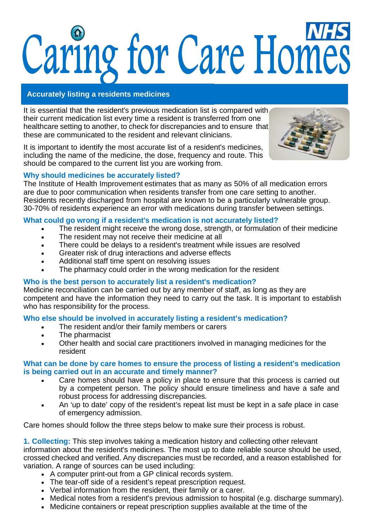# Caring for Care Homes

# **Accurately listing a residents medicines**

It is essential that the resident's previous medication list is compared with their current medication list every time a resident is transferred from one healthcare setting to another, to check for discrepancies and to ensure that these are communicated to the resident and relevant clinicians.

It is important to identify the most accurate list of a resident's medicines, including the name of the medicine, the dose, frequency and route. This should be compared to the current list you are working from.



# **Why should medicines be accurately listed?**

The Institute of Health Improvement estimates that as many as 50% of all medication errors are due to poor communication when residents transfer from one care setting to another. Residents recently discharged from hospital are known to be a particularly vulnerable group. 30-70% of residents experience an error with medications during transfer between settings.

# **What could go wrong if a resident's medication is not accurately listed?**

- The resident might receive the wrong dose, strength, or formulation of their medicine
- The resident may not receive their medicine at all
- There could be delays to a resident's treatment while issues are resolved
- Greater risk of drug interactions and adverse effects
- Additional staff time spent on resolving issues
- The pharmacy could order in the wrong medication for the resident

## **Who is the best person to accurately list a resident's medication?**

Medicine reconciliation can be carried out by any member of staff, as long as they are competent and have the information they need to carry out the task. It is important to establish who has responsibility for the process.

## **Who else should be involved in accurately listing a resident's medication?**

- The resident and/or their family members or carers
- The pharmacist
- Other health and social care practitioners involved in managing medicines for the resident

### **What can be done by care homes to ensure the process of listing a resident's medication is being carried out in an accurate and timely manner?**

- Care homes should have a policy in place to ensure that this process is carried out by a competent person. The policy should ensure timeliness and have a safe and robust process for addressing discrepancies.
- An 'up to date' copy of the resident's repeat list must be kept in a safe place in case of emergency admission.

Care homes should follow the three steps below to make sure their process is robust.

**1. Collecting:** This step involves taking a medication history and collecting other relevant information about the resident's medicines. The most up to date reliable source should be used, crossed checked and verified. Any discrepancies must be recorded, and a reason established for variation. A range of sources can be used including:

- A computer print-out from a GP clinical records system.
- The tear-off side of a resident's repeat prescription request.
- Verbal information from the resident, their family or a carer.
- Medical notes from a resident's previous admission to hospital (e.g. discharge summary).
- Medicine containers or repeat prescription supplies available at the time of the